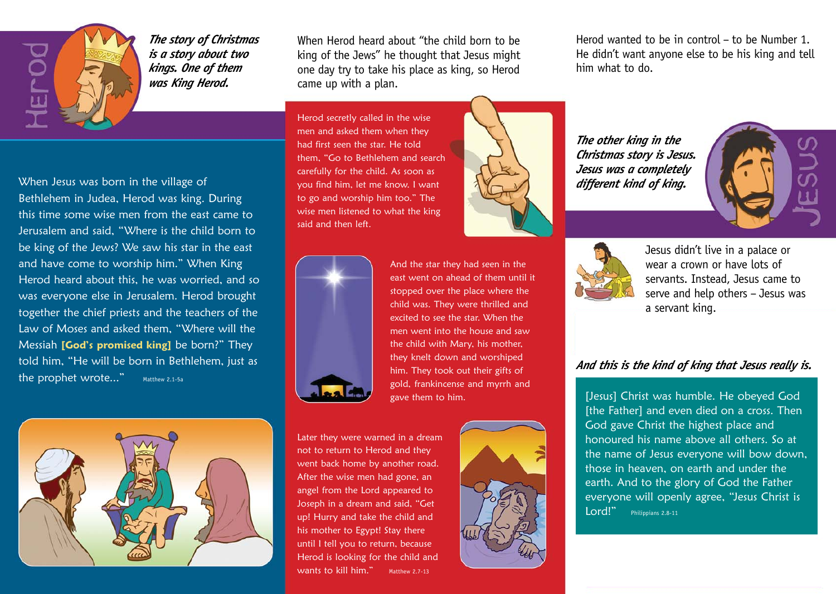

*The story of Christmas is a story about two kings. One of them was King Herod.*

When Jesus was born in the village of Bethlehem in Judea, Herod was king. During this time some wise men from the east came to Jerusalem and said, "Where is the child born to be king of the Jews? We saw his star in the east and have come to worship him." When King Herod heard about this, he was worried, and so was everyone else in Jerusalem. Herod brought together the chief priests and the teachers of the Law of Moses and asked them, "Where will the Messiah [God's promised king] be born?" They told him, "He will be born in Bethlehem, just as the prophet wrote..." Matthew 2.1-5a



When Herod heard about "the child born to be king of the Jews" he thought that Jesus might one day try to take his place as king, so Herod came up with a plan.

Herod secretly called in the wise men and asked them when they had first seen the star. He told them, "Go to Bethlehem and search carefully for the child. As soon as you find him, let me know. I want to go and worship him too." The wise men listened to what the king said and then left.



And the star they had seen in the east went on ahead of them until it stopped over the place where the child was. They were thrilled and excited to see the star. When the men went into the house and saw the child with Mary, his mother, they knelt down and worshiped him. They took out their gifts of gold, frankincense and myrrh and gave them to him.

Later they were warned in a dream not to return to Herod and they went back home by another road. After the wise men had gone, an angel from the Lord appeared to Joseph in a dream and said, "Get up! Hurry and take the child and his mother to Egypt! Stay there until I tell you to return, because Herod is looking for the child and wants to kill him." Matthew 2.7-13



Herod wanted to be in control – to be Number 1. He didn't want anyone else to be his king and tell him what to do.

*The other king in the Christmas story is Jesus. Jesus was a completely different kind of king.*





Jesus didn't live in a palace or wear a crown or have lots of servants. Instead, Jesus came to serve and help others – Jesus was a servant king.

## *And this is the kind of king that Jesus really is.*

[Jesus] Christ was humble. He obeyed God [the Father] and even died on a cross. Then God gave Christ the highest place and honoured his name above all others. So at the name of Jesus everyone will bow down, those in heaven, on earth and under the earth. And to the glory of God the Father everyone will openly agree, "Jesus Christ is Lord!" Philippians 2.8-11